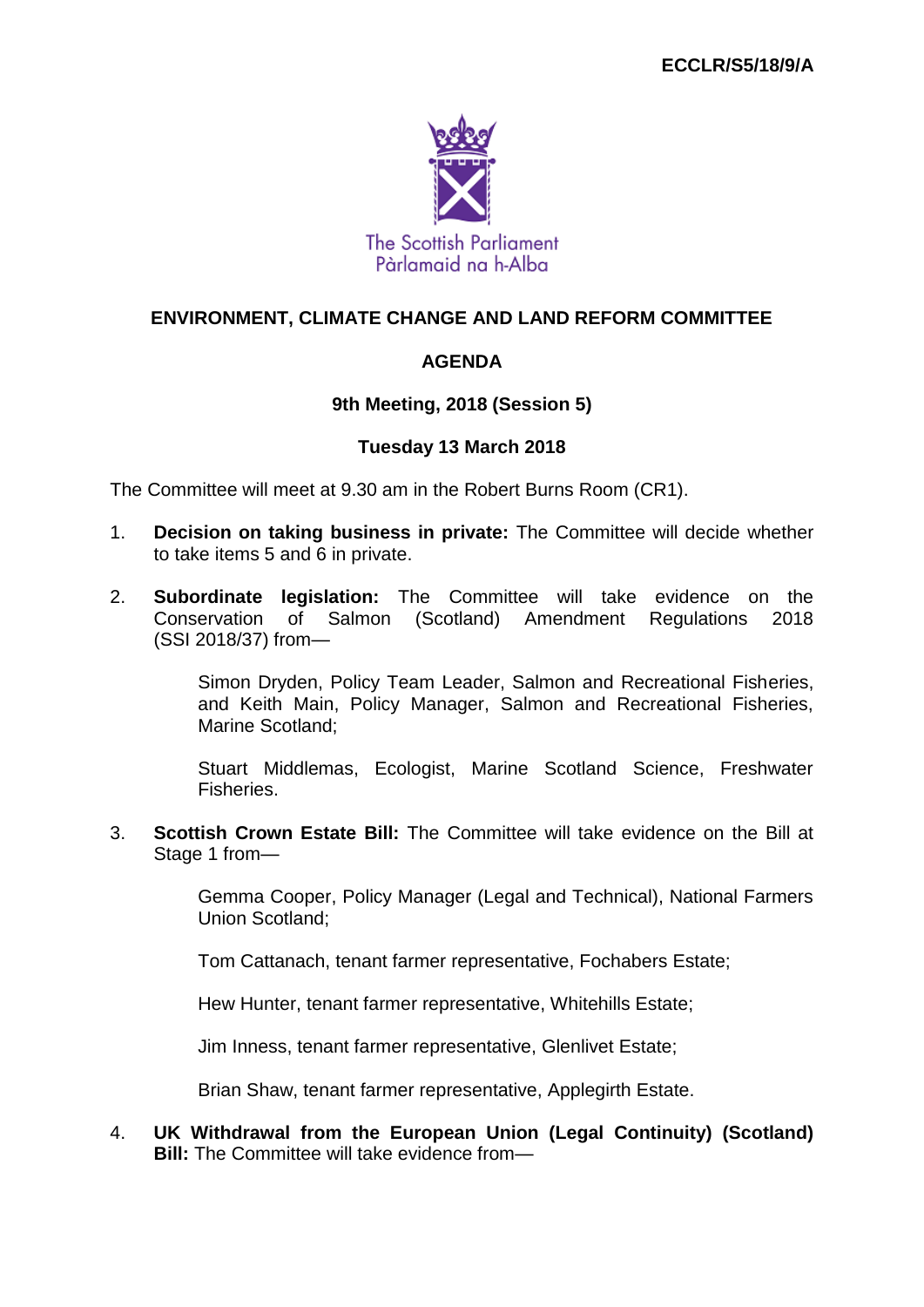

## **ENVIRONMENT, CLIMATE CHANGE AND LAND REFORM COMMITTEE**

## **AGENDA**

### **9th Meeting, 2018 (Session 5)**

#### **Tuesday 13 March 2018**

The Committee will meet at 9.30 am in the Robert Burns Room (CR1).

- 1. **Decision on taking business in private:** The Committee will decide whether to take items 5 and 6 in private.
- 2. **Subordinate legislation:** The Committee will take evidence on the Conservation of Salmon (Scotland) Amendment Regulations 2018 (SSI 2018/37) from—

Simon Dryden, Policy Team Leader, Salmon and Recreational Fisheries, and Keith Main, Policy Manager, Salmon and Recreational Fisheries, Marine Scotland;

Stuart Middlemas, Ecologist, Marine Scotland Science, Freshwater Fisheries.

3. **Scottish Crown Estate Bill:** The Committee will take evidence on the Bill at Stage 1 from—

> Gemma Cooper, Policy Manager (Legal and Technical), National Farmers Union Scotland;

Tom Cattanach, tenant farmer representative, Fochabers Estate;

Hew Hunter, tenant farmer representative, Whitehills Estate;

Jim Inness, tenant farmer representative, Glenlivet Estate;

Brian Shaw, tenant farmer representative, Applegirth Estate.

4. **UK Withdrawal from the European Union (Legal Continuity) (Scotland) Bill:** The Committee will take evidence from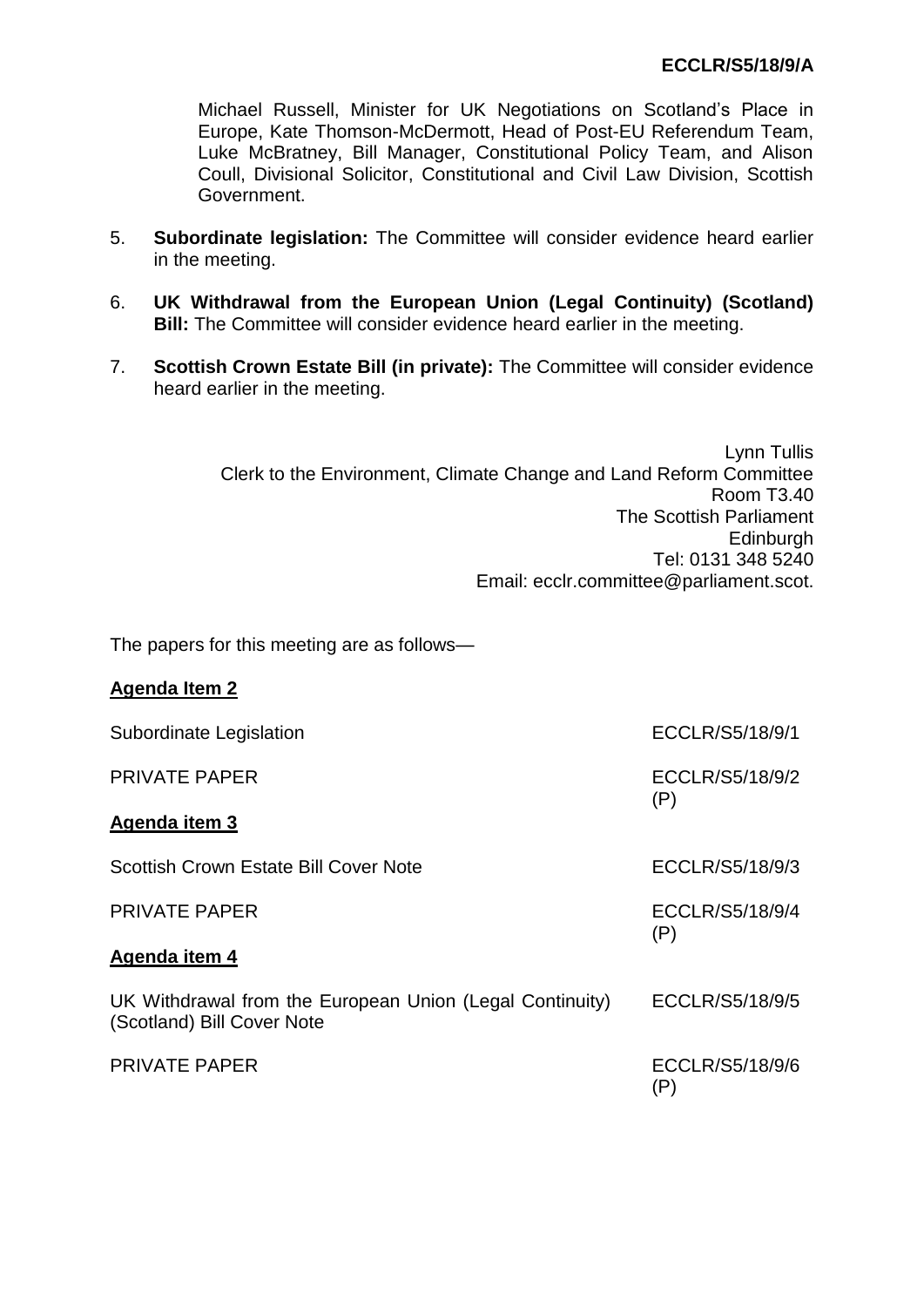Michael Russell, Minister for UK Negotiations on Scotland's Place in Europe, Kate Thomson-McDermott, Head of Post-EU Referendum Team, Luke McBratney, Bill Manager, Constitutional Policy Team, and Alison Coull, Divisional Solicitor, Constitutional and Civil Law Division, Scottish Government.

- 5. **Subordinate legislation:** The Committee will consider evidence heard earlier in the meeting.
- 6. **UK Withdrawal from the European Union (Legal Continuity) (Scotland) Bill:** The Committee will consider evidence heard earlier in the meeting.
- 7. **Scottish Crown Estate Bill (in private):** The Committee will consider evidence heard earlier in the meeting.

Lynn Tullis Clerk to the Environment, Climate Change and Land Reform Committee Room T3.40 The Scottish Parliament **Edinburgh** Tel: 0131 348 5240 Email: ecclr.committee@parliament.scot.

The papers for this meeting are as follows—

**Agenda Item 2**

| Subordinate Legislation                                                                | ECCLR/S5/18/9/1        |
|----------------------------------------------------------------------------------------|------------------------|
| <b>PRIVATE PAPER</b>                                                                   | ECCLR/S5/18/9/2        |
| Agenda item 3                                                                          | (P)                    |
| Scottish Crown Estate Bill Cover Note                                                  | ECCLR/S5/18/9/3        |
| <b>PRIVATE PAPER</b>                                                                   | ECCLR/S5/18/9/4        |
| Agenda item 4                                                                          | (P)                    |
| UK Withdrawal from the European Union (Legal Continuity)<br>(Scotland) Bill Cover Note | ECCLR/S5/18/9/5        |
| <b>PRIVATE PAPER</b>                                                                   | ECCLR/S5/18/9/6<br>(P) |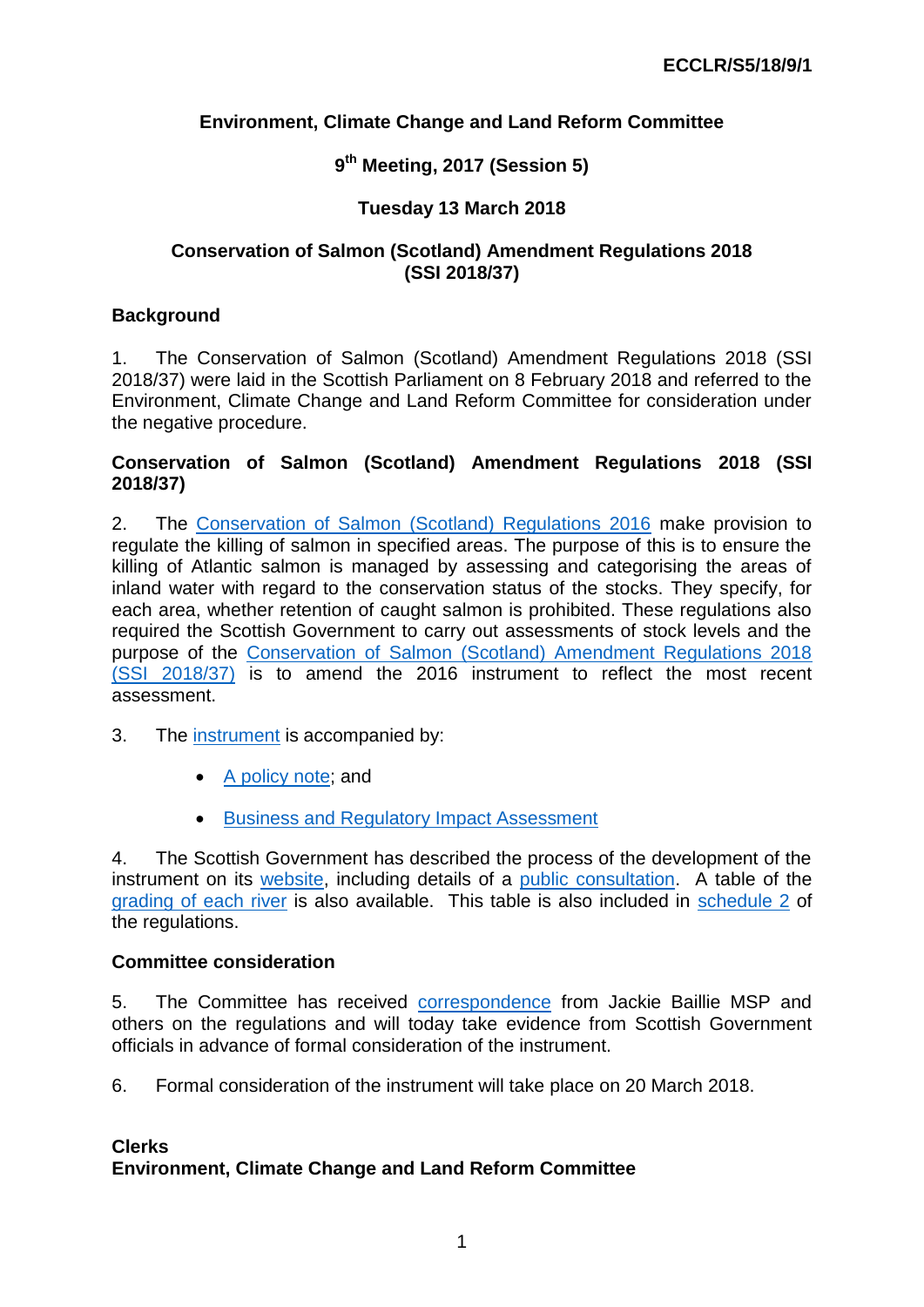## **Environment, Climate Change and Land Reform Committee**

## **9 th Meeting, 2017 (Session 5)**

## **Tuesday 13 March 2018**

### **Conservation of Salmon (Scotland) Amendment Regulations 2018 (SSI 2018/37)**

### **Background**

1. The Conservation of Salmon (Scotland) Amendment Regulations 2018 (SSI 2018/37) were laid in the Scottish Parliament on 8 February 2018 and referred to the Environment, Climate Change and Land Reform Committee for consideration under the negative procedure.

#### **Conservation of Salmon (Scotland) Amendment Regulations 2018 (SSI 2018/37)**

2. The [Conservation of Salmon \(Scotland\) Regulations 2016](http://www.legislation.gov.uk/ssi/2016/115/contents/made) make provision to regulate the killing of salmon in specified areas. The purpose of this is to ensure the killing of Atlantic salmon is managed by assessing and categorising the areas of inland water with regard to the conservation status of the stocks. They specify, for each area, whether retention of caught salmon is prohibited. These regulations also required the Scottish Government to carry out assessments of stock levels and the purpose of the [Conservation of Salmon \(Scotland\) Amendment Regulations 2018](1.%09http:/www.legislation.gov.uk/ssi/2018/37/contents/made)  [\(SSI 2018/37\)](1.%09http:/www.legislation.gov.uk/ssi/2018/37/contents/made) is to amend the 2016 instrument to reflect the most recent assessment.

- 3. The [instrument](http://www.legislation.gov.uk/ssi/2016/115/contents/made) is accompanied by:
	- [A policy note;](http://www.legislation.gov.uk/ssi/2018/37/pdfs/ssipn_20180037_en.pdf) and
	- **[Business and Regulatory Impact Assessment](http://www.legislation.gov.uk/ssi/2018/37/pdfs/ssifia_20180037_en.pdf)**

4. The Scottish Government has described the process of the development of the instrument on its [website,](http://www.gov.scot/Topics/marine/Salmon-Trout-Coarse/fishreform/licence/status) including details of a [public consultation.](http://www.gov.scot/Topics/marine/Salmon-Trout-Coarse/fishreform/licence/status/limits) A table of the [grading of each river](http://www.gov.scot/Topics/marine/Salmon-Trout-Coarse/fishreform/licence/status/limits) is also available. This table is also included in [schedule 2](http://www.legislation.gov.uk/ssi/2018/37/schedule/2/made) of the regulations.

#### **Committee consideration**

5. The Committee has received [correspondence](http://www.parliament.scot/S5_Environment/Inquiries/20180301_Jackie_Baillie.pdf) from Jackie Baillie MSP and others on the regulations and will today take evidence from Scottish Government officials in advance of formal consideration of the instrument.

6. Formal consideration of the instrument will take place on 20 March 2018.

#### **Clerks Environment, Climate Change and Land Reform Committee**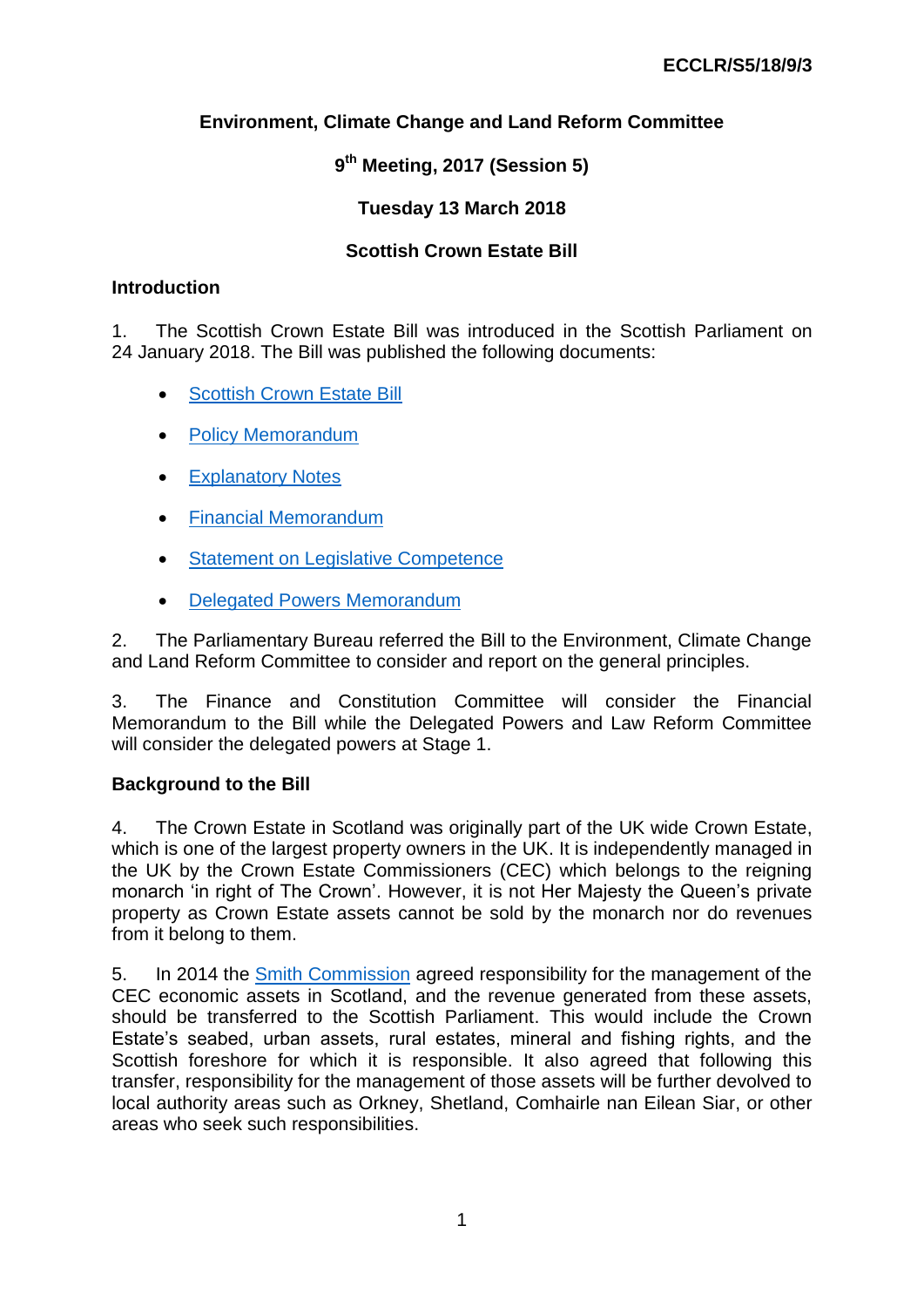# **Environment, Climate Change and Land Reform Committee**

# **9 th Meeting, 2017 (Session 5)**

## **Tuesday 13 March 2018**

## **Scottish Crown Estate Bill**

#### **Introduction**

1. The Scottish Crown Estate Bill was introduced in the Scottish Parliament on 24 January 2018. The Bill was published the following documents:

- [Scottish Crown Estate Bill](http://www.parliament.scot/Scottish%20Crown%20Estate%20Bill/SPBill24S052018.pdf)
- [Policy Memorandum](http://www.parliament.scot/Scottish%20Crown%20Estate%20Bill/SPBill24PMS052018.pdf)
- **•** [Explanatory Notes](http://www.parliament.scot/Scottish%20Crown%20Estate%20Bill/SPBill24ENS052018.pdf)
- [Financial Memorandum](http://www.parliament.scot/Scottish%20Crown%20Estate%20Bill/SPBill24FMS052018.pdf)
- [Statement on Legislative Competence](http://www.parliament.scot/Scottish%20Crown%20Estate%20Bill/SPBill24LCS052018.pdf)
- [Delegated Powers Memorandum](http://www.parliament.scot/Scottish%20Crown%20Estate%20Bill/SPBill24DPMS052018.pdf)

2. The Parliamentary Bureau referred the Bill to the Environment, Climate Change and Land Reform Committee to consider and report on the general principles.

3. The Finance and Constitution Committee will consider the Financial Memorandum to the Bill while the Delegated Powers and Law Reform Committee will consider the delegated powers at Stage 1.

## **Background to the Bill**

4. The Crown Estate in Scotland was originally part of the UK wide Crown Estate, which is one of the largest property owners in the UK. It is independently managed in the UK by the Crown Estate Commissioners (CEC) which belongs to the reigning monarch 'in right of The Crown'. However, it is not Her Majesty the Queen's private property as Crown Estate assets cannot be sold by the monarch nor do revenues from it belong to them.

5. In 2014 the [Smith Commission](http://webarchive.nationalarchives.gov.uk/20151202171017/http:/www.smith-commission.scot/) agreed responsibility for the management of the CEC economic assets in Scotland, and the revenue generated from these assets, should be transferred to the Scottish Parliament. This would include the Crown Estate's seabed, urban assets, rural estates, mineral and fishing rights, and the Scottish foreshore for which it is responsible. It also agreed that following this transfer, responsibility for the management of those assets will be further devolved to local authority areas such as Orkney, Shetland, Comhairle nan Eilean Siar, or other areas who seek such responsibilities.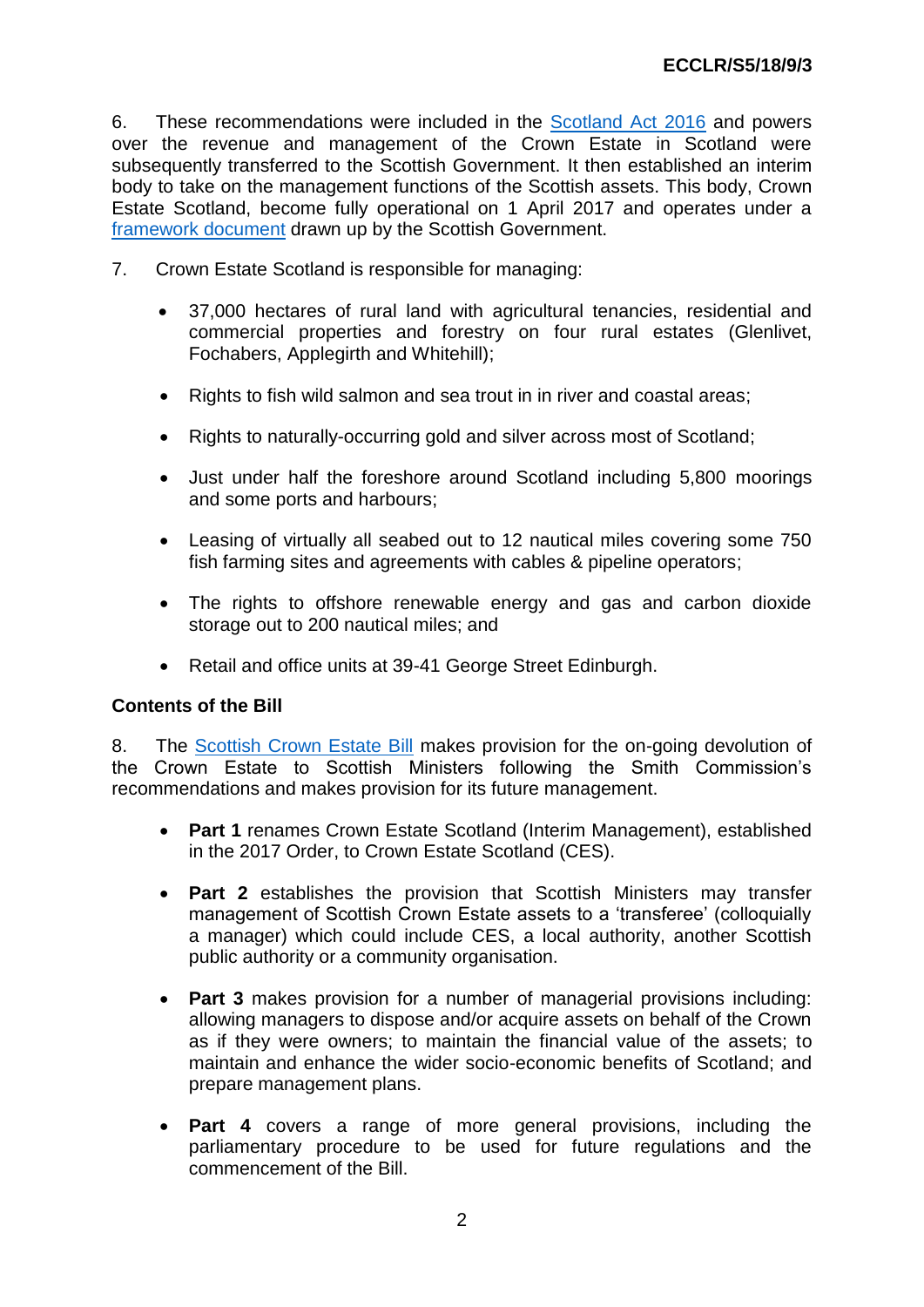6. These recommendations were included in the [Scotland Act 2016](http://www.legislation.gov.uk/ukpga/2016/11/section/36/enacted) and powers over the revenue and management of the Crown Estate in Scotland were subsequently transferred to the Scottish Government. It then established an interim body to take on the management functions of the Scottish assets. This body, Crown Estate Scotland, become fully operational on 1 April 2017 and operates under a [framework document](http://www.crownestatescotland.com/about-us/structure-governance) drawn up by the Scottish Government.

- 7. Crown Estate Scotland is responsible for managing:
	- 37,000 hectares of rural land with agricultural tenancies, residential and commercial properties and forestry on four rural estates (Glenlivet, Fochabers, Applegirth and Whitehill);
	- Rights to fish wild salmon and sea trout in in river and coastal areas;
	- Rights to naturally-occurring gold and silver across most of Scotland;
	- Just under half the foreshore around Scotland including 5,800 moorings and some ports and harbours;
	- Leasing of virtually all seabed out to 12 nautical miles covering some 750 fish farming sites and agreements with cables & pipeline operators;
	- The rights to offshore renewable energy and gas and carbon dioxide storage out to 200 nautical miles; and
	- Retail and office units at 39-41 George Street Edinburgh.

#### **Contents of the Bill**

8. The [Scottish Crown Estate Bill](http://www.parliament.scot/Scottish%20Crown%20Estate%20Bill/SPBill24S052018.pdf) makes provision for the on-going devolution of the Crown Estate to Scottish Ministers following the Smith Commission's recommendations and makes provision for its future management.

- **Part 1** renames Crown Estate Scotland (Interim Management), established in the 2017 Order, to Crown Estate Scotland (CES).
- **Part 2** establishes the provision that Scottish Ministers may transfer management of Scottish Crown Estate assets to a 'transferee' (colloquially a manager) which could include CES, a local authority, another Scottish public authority or a community organisation.
- **Part 3** makes provision for a number of managerial provisions including: allowing managers to dispose and/or acquire assets on behalf of the Crown as if they were owners; to maintain the financial value of the assets; to maintain and enhance the wider socio-economic benefits of Scotland; and prepare management plans.
- **Part 4** covers a range of more general provisions, including the parliamentary procedure to be used for future regulations and the commencement of the Bill.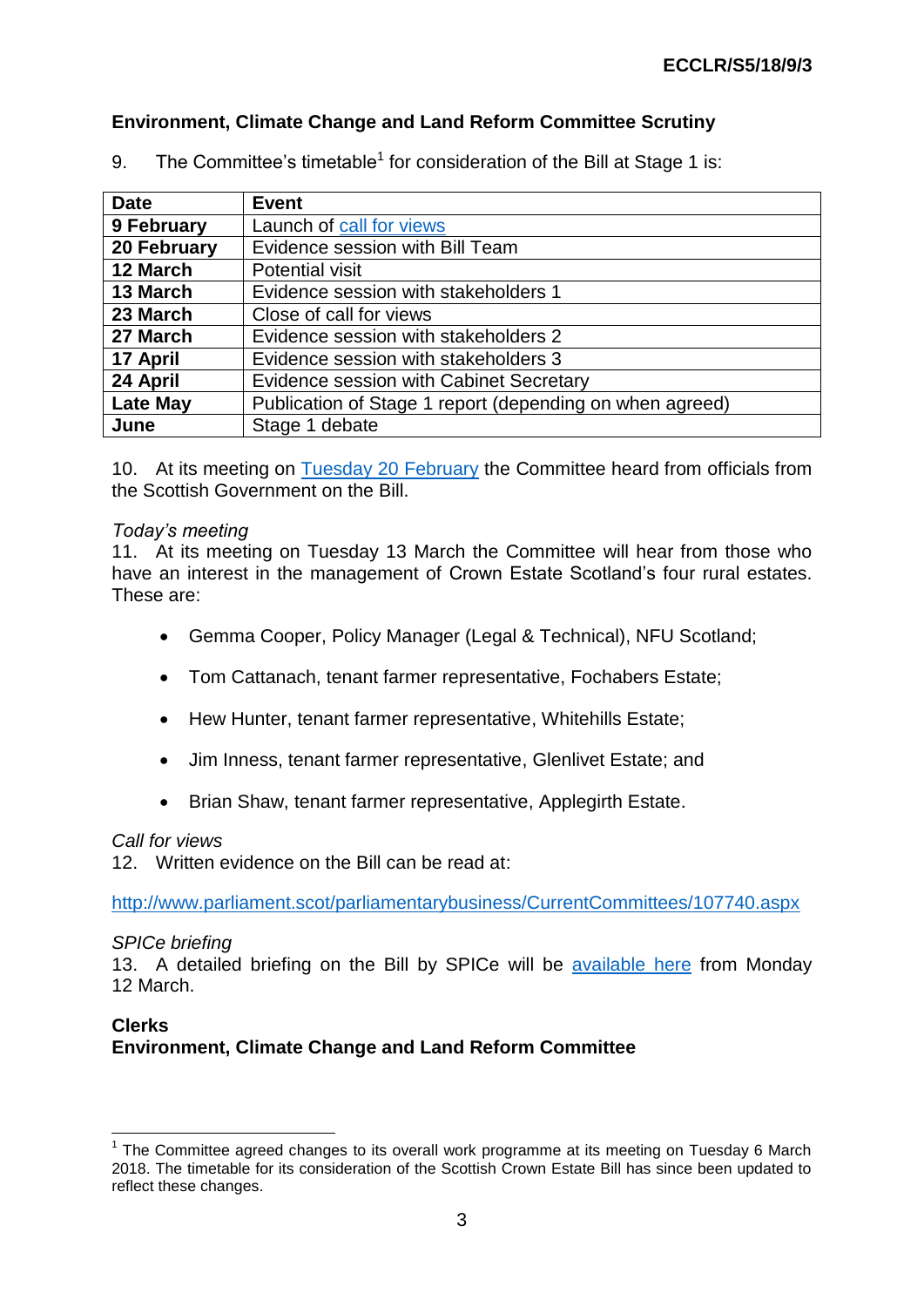## **Environment, Climate Change and Land Reform Committee Scrutiny**

| <b>Date</b>     | <b>Event</b>                                             |
|-----------------|----------------------------------------------------------|
| 9 February      | Launch of call for views                                 |
| 20 February     | Evidence session with Bill Team                          |
| 12 March        | <b>Potential visit</b>                                   |
| 13 March        | Evidence session with stakeholders 1                     |
| 23 March        | Close of call for views                                  |
| 27 March        | Evidence session with stakeholders 2                     |
| 17 April        | Evidence session with stakeholders 3                     |
| 24 April        | Evidence session with Cabinet Secretary                  |
| <b>Late May</b> | Publication of Stage 1 report (depending on when agreed) |
| June            | Stage 1 debate                                           |

9. The Committee's timetable<sup>1</sup> for consideration of the Bill at Stage 1 is:

10. At its meeting on [Tuesday 20 February](http://www.parliament.scot/parliamentarybusiness/report.aspx?r=11369) the Committee heard from officials from the Scottish Government on the Bill.

#### *Today's meeting*

11. At its meeting on Tuesday 13 March the Committee will hear from those who have an interest in the management of Crown Estate Scotland's four rural estates. These are:

- Gemma Cooper, Policy Manager (Legal & Technical), NFU Scotland;
- Tom Cattanach, tenant farmer representative, Fochabers Estate;
- Hew Hunter, tenant farmer representative, Whitehills Estate;
- Jim Inness, tenant farmer representative, Glenlivet Estate; and
- Brian Shaw, tenant farmer representative, Applegirth Estate.

#### *Call for views*

12. Written evidence on the Bill can be read at:

<http://www.parliament.scot/parliamentarybusiness/CurrentCommittees/107740.aspx>

#### *SPICe briefing*

13. A detailed briefing on the Bill by SPICe will be [available here](https://digitalpublications.parliament.scot/ResearchBriefings) from Monday 12 March.

### **Clerks Environment, Climate Change and Land Reform Committee**

<sup>1</sup>  $1$  The Committee agreed changes to its overall work programme at its meeting on Tuesday 6 March 2018. The timetable for its consideration of the Scottish Crown Estate Bill has since been updated to reflect these changes.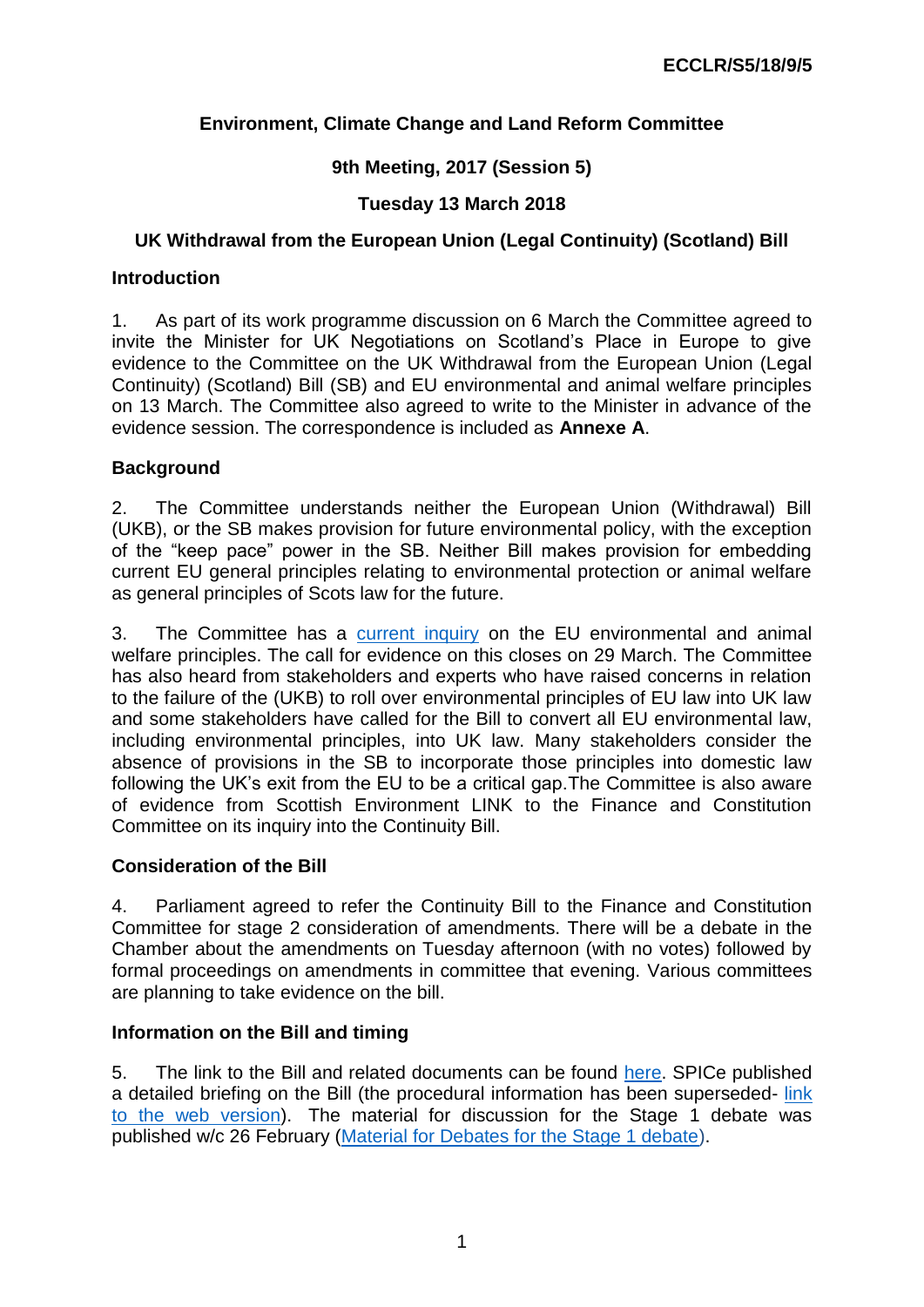# **Environment, Climate Change and Land Reform Committee**

## **9th Meeting, 2017 (Session 5)**

## **Tuesday 13 March 2018**

## **UK Withdrawal from the European Union (Legal Continuity) (Scotland) Bill**

### **Introduction**

1. As part of its work programme discussion on 6 March the Committee agreed to invite the Minister for UK Negotiations on Scotland's Place in Europe to give evidence to the Committee on the UK Withdrawal from the European Union (Legal Continuity) (Scotland) Bill (SB) and EU environmental and animal welfare principles on 13 March. The Committee also agreed to write to the Minister in advance of the evidence session. The correspondence is included as **Annexe A**.

## **Background**

2. The Committee understands neither the European Union (Withdrawal) Bill (UKB), or the SB makes provision for future environmental policy, with the exception of the "keep pace" power in the SB. Neither Bill makes provision for embedding current EU general principles relating to environmental protection or animal welfare as general principles of Scots law for the future.

3. The Committee has a [current inquiry](http://www.parliament.scot/parliamentarybusiness/CurrentCommittees/107913.aspx) on the EU environmental and animal welfare principles. The call for evidence on this closes on 29 March. The Committee has also heard from stakeholders and experts who have raised concerns in relation to the failure of the (UKB) to roll over environmental principles of EU law into UK law and some stakeholders have called for the Bill to convert all EU environmental law, including environmental principles, into UK law. Many stakeholders consider the absence of provisions in the SB to incorporate those principles into domestic law following the UK's exit from the EU to be a critical gap.The Committee is also aware of evidence from Scottish Environment LINK to the Finance and Constitution Committee on its inquiry into the Continuity Bill.

## **Consideration of the Bill**

4. Parliament agreed to refer the Continuity Bill to the Finance and Constitution Committee for stage 2 consideration of amendments. There will be a debate in the Chamber about the amendments on Tuesday afternoon (with no votes) followed by formal proceedings on amendments in committee that evening. Various committees are planning to take evidence on the bill.

## **Information on the Bill and timing**

5. The link to the Bill and related documents can be found [here.](http://www.parliament.scot/parliamentarybusiness/Bills/107725.aspx) SPICe published a detailed briefing on the Bill (the procedural information has been superseded- link [to the web version\)](https://digitalpublications.parliament.scot/ResearchBriefings/Report/2018/3/6/UK-Withdrawal-from-the-European-Union--Legal-Continuity---Scotland--Bill). The material for discussion for the Stage 1 debate was published w/c 26 February [\(Material for Debates for the Stage 1 debate\)](http://www.parliament.scot/Materialfordebates/March/07032018EUContinuityBill.pdf).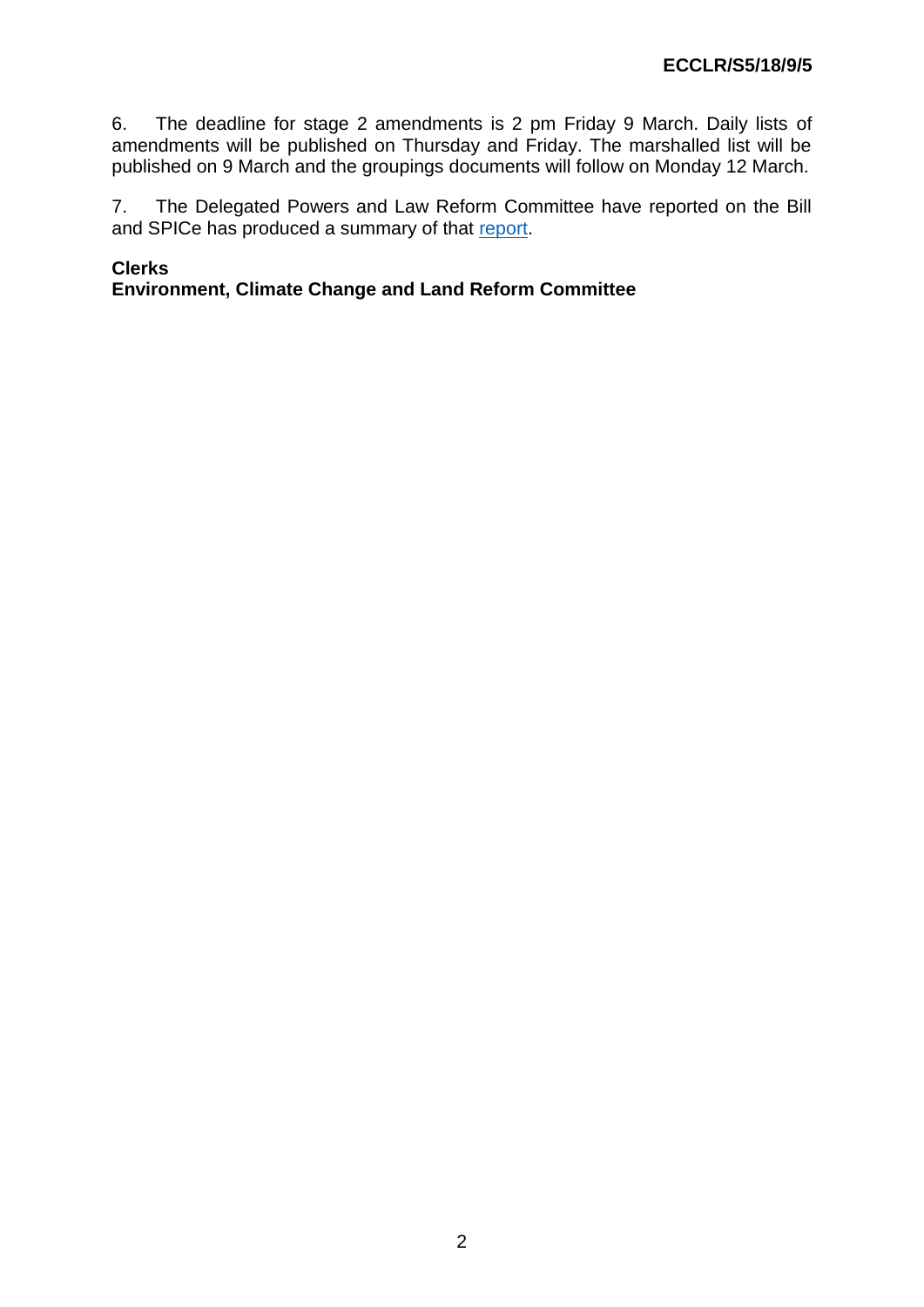6. The deadline for stage 2 amendments is 2 pm Friday 9 March. Daily lists of amendments will be published on Thursday and Friday. The marshalled list will be published on 9 March and the groupings documents will follow on Monday 12 March.

7. The Delegated Powers and Law Reform Committee have reported on the Bill and SPICe has produced a summary of that [report.](https://digitalpublications.parliament.scot/ResearchBriefings/Report/2018/3/6/UK-Withdrawal-from-the-European-Union--Legal-Continuity---Scotland--Bill)

## **Clerks**

**Environment, Climate Change and Land Reform Committee**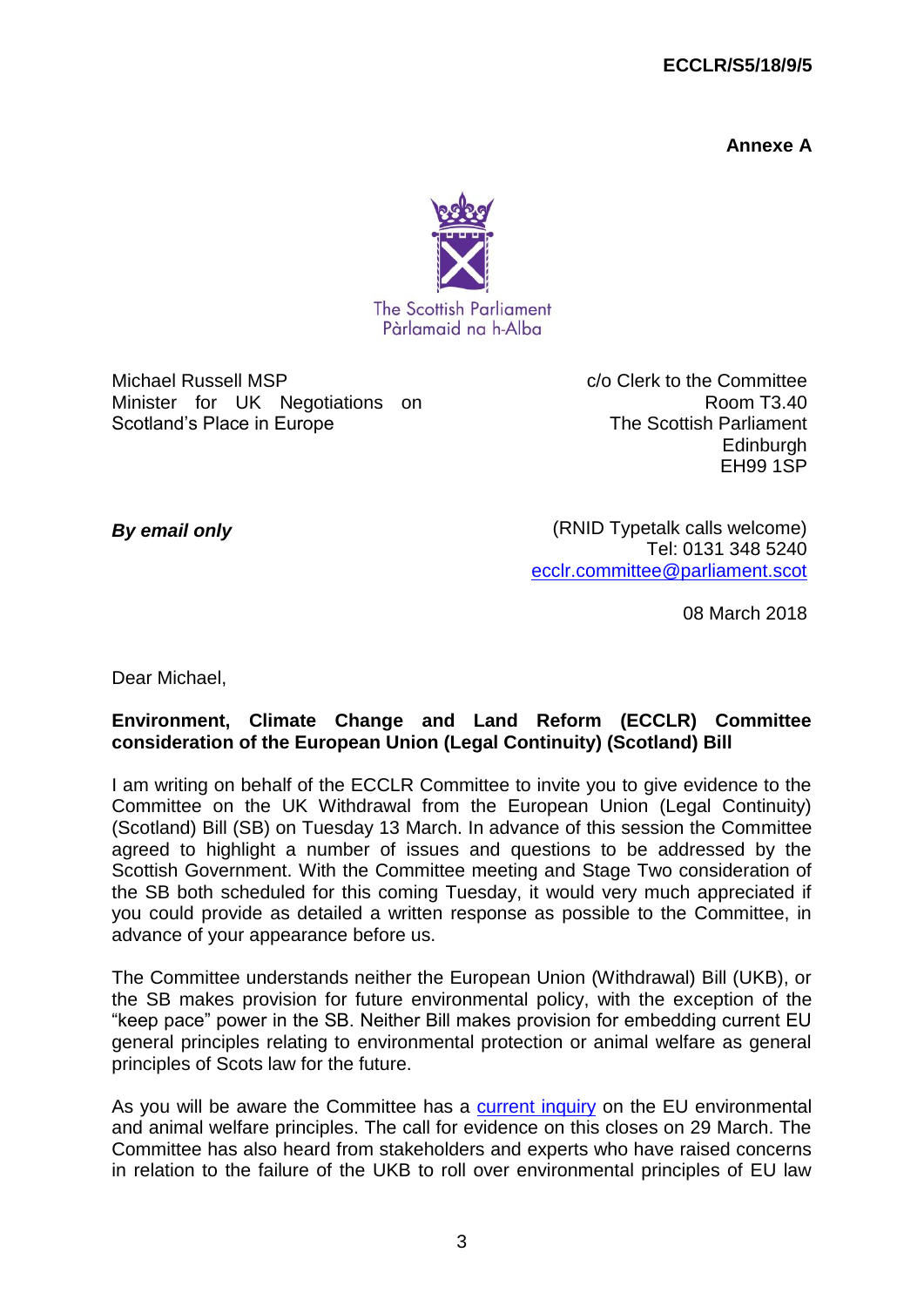#### **ECCLR/S5/18/9/5**

**Annexe A**



Michael Russell MSP Minister for UK Negotiations on Scotland's Place in Europe

c/o Clerk to the Committee Room T3.40 The Scottish Parliament **Edinburgh** EH99 1SP

*By email only*

(RNID Typetalk calls welcome) Tel: 0131 348 5240 [ecclr.committee@parliament.scot](mailto:ecclr.committee@parliament.scot)

08 March 2018

Dear Michael,

#### **Environment, Climate Change and Land Reform (ECCLR) Committee consideration of the European Union (Legal Continuity) (Scotland) Bill**

I am writing on behalf of the ECCLR Committee to invite you to give evidence to the Committee on the UK Withdrawal from the European Union (Legal Continuity) (Scotland) Bill (SB) on Tuesday 13 March. In advance of this session the Committee agreed to highlight a number of issues and questions to be addressed by the Scottish Government. With the Committee meeting and Stage Two consideration of the SB both scheduled for this coming Tuesday, it would very much appreciated if you could provide as detailed a written response as possible to the Committee, in advance of your appearance before us.

The Committee understands neither the European Union (Withdrawal) Bill (UKB), or the SB makes provision for future environmental policy, with the exception of the "keep pace" power in the SB. Neither Bill makes provision for embedding current EU general principles relating to environmental protection or animal welfare as general principles of Scots law for the future.

As you will be aware the Committee has a [current inquiry](http://www.parliament.scot/parliamentarybusiness/CurrentCommittees/107913.aspx) on the EU environmental and animal welfare principles. The call for evidence on this closes on 29 March. The Committee has also heard from stakeholders and experts who have raised concerns in relation to the failure of the UKB to roll over environmental principles of EU law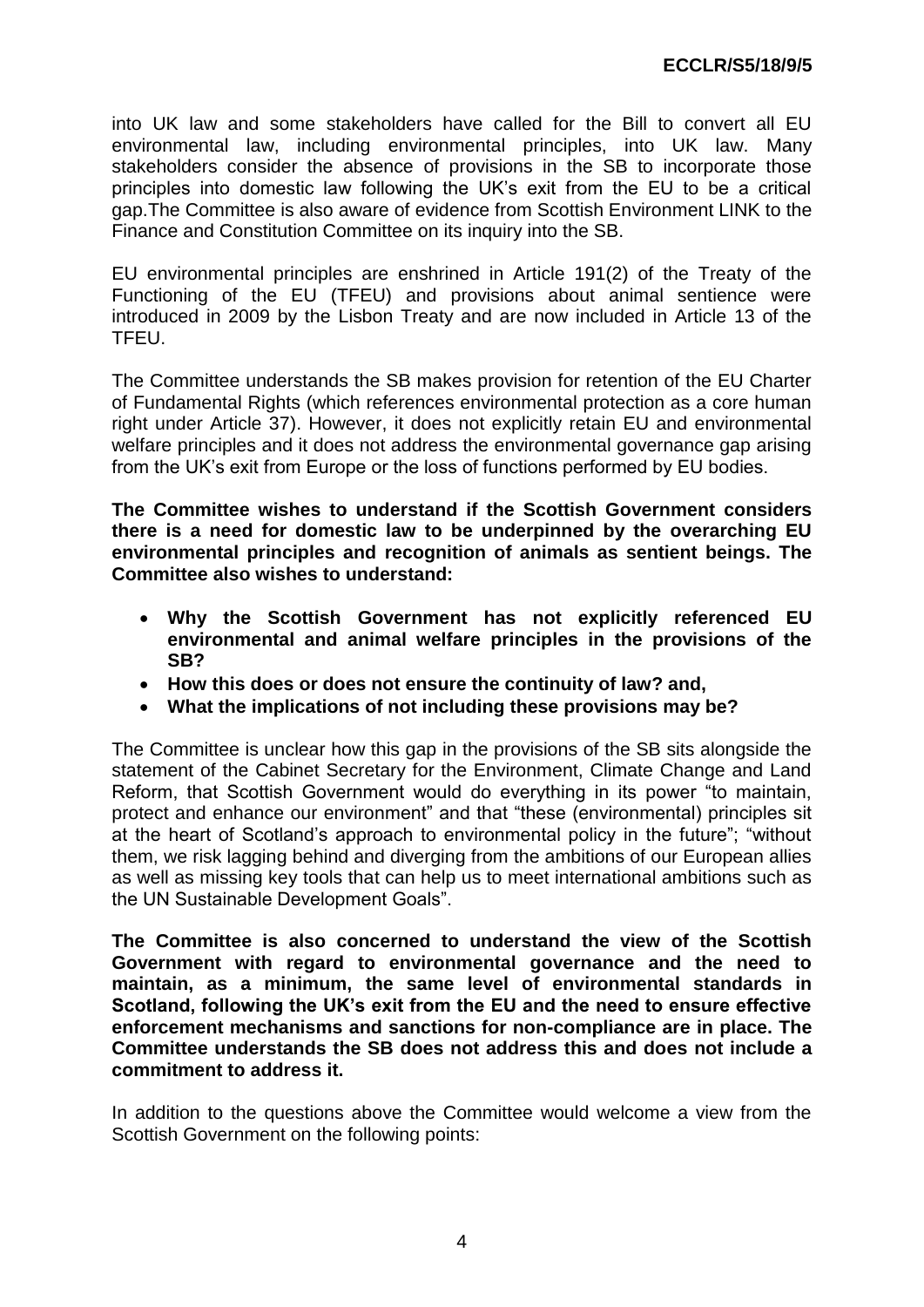into UK law and some stakeholders have called for the Bill to convert all EU environmental law, including environmental principles, into UK law. Many stakeholders consider the absence of provisions in the SB to incorporate those principles into domestic law following the UK's exit from the EU to be a critical gap.The Committee is also aware of evidence from Scottish Environment LINK to the Finance and Constitution Committee on its inquiry into the SB.

EU environmental principles are enshrined in Article 191(2) of the Treaty of the Functioning of the EU (TFEU) and provisions about animal sentience were introduced in 2009 by the Lisbon Treaty and are now included in Article 13 of the TFEU.

The Committee understands the SB makes provision for retention of the EU Charter of Fundamental Rights (which references environmental protection as a core human right under Article 37). However, it does not explicitly retain EU and environmental welfare principles and it does not address the environmental governance gap arising from the UK's exit from Europe or the loss of functions performed by EU bodies.

**The Committee wishes to understand if the Scottish Government considers there is a need for domestic law to be underpinned by the overarching EU environmental principles and recognition of animals as sentient beings. The Committee also wishes to understand:**

- **Why the Scottish Government has not explicitly referenced EU environmental and animal welfare principles in the provisions of the SB?**
- **How this does or does not ensure the continuity of law? and,**
- **What the implications of not including these provisions may be?**

The Committee is unclear how this gap in the provisions of the SB sits alongside the statement of the Cabinet Secretary for the Environment, Climate Change and Land Reform, that Scottish Government would do everything in its power "to maintain, protect and enhance our environment" and that "these (environmental) principles sit at the heart of Scotland's approach to environmental policy in the future"; "without them, we risk lagging behind and diverging from the ambitions of our European allies as well as missing key tools that can help us to meet international ambitions such as the UN Sustainable Development Goals".

**The Committee is also concerned to understand the view of the Scottish Government with regard to environmental governance and the need to maintain, as a minimum, the same level of environmental standards in Scotland, following the UK's exit from the EU and the need to ensure effective enforcement mechanisms and sanctions for non-compliance are in place. The Committee understands the SB does not address this and does not include a commitment to address it.**

In addition to the questions above the Committee would welcome a view from the Scottish Government on the following points: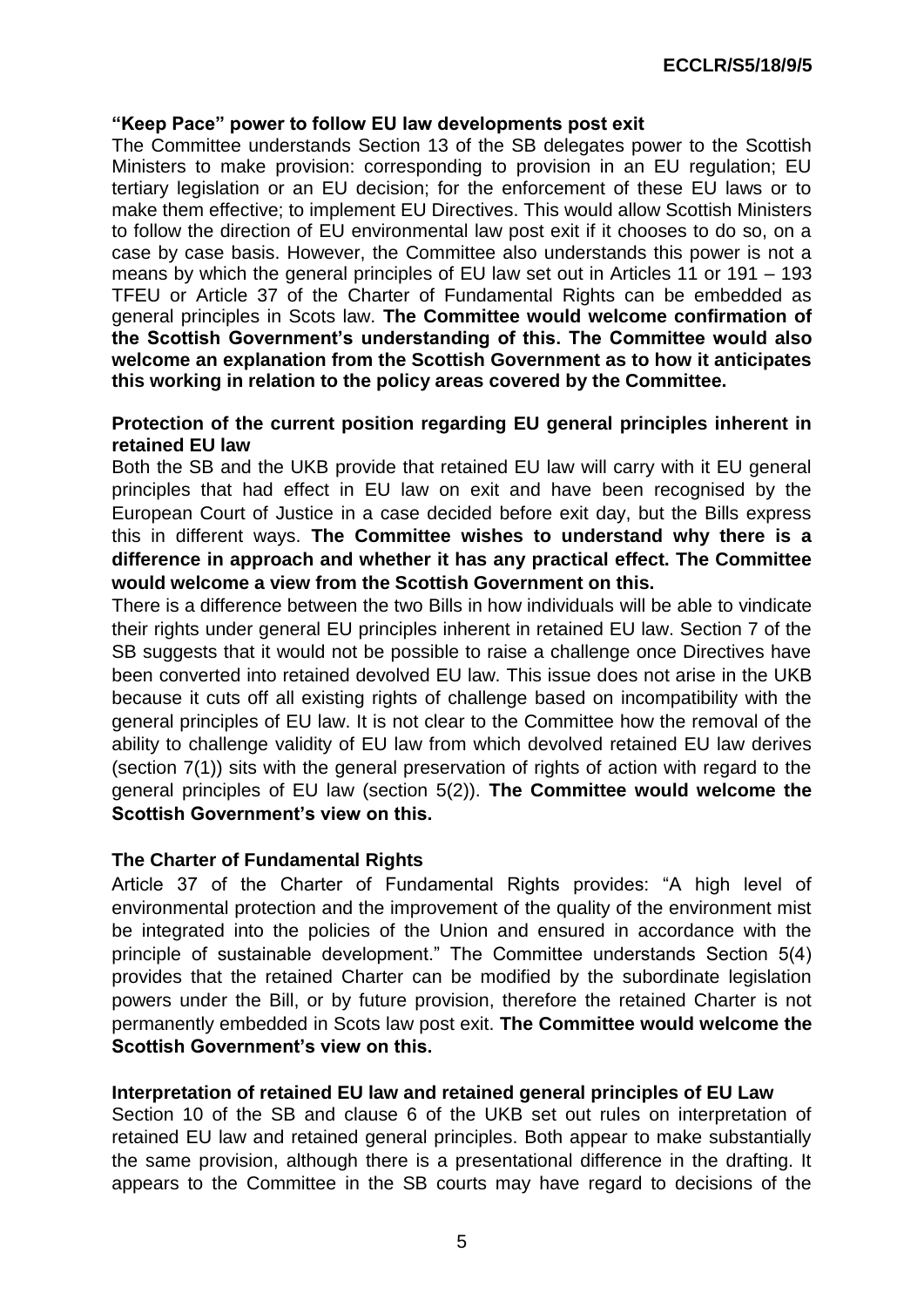#### **"Keep Pace" power to follow EU law developments post exit**

The Committee understands Section 13 of the SB delegates power to the Scottish Ministers to make provision: corresponding to provision in an EU regulation; EU tertiary legislation or an EU decision; for the enforcement of these EU laws or to make them effective; to implement EU Directives. This would allow Scottish Ministers to follow the direction of EU environmental law post exit if it chooses to do so, on a case by case basis. However, the Committee also understands this power is not a means by which the general principles of EU law set out in Articles 11 or 191 – 193 TFEU or Article 37 of the Charter of Fundamental Rights can be embedded as general principles in Scots law. **The Committee would welcome confirmation of the Scottish Government's understanding of this. The Committee would also welcome an explanation from the Scottish Government as to how it anticipates this working in relation to the policy areas covered by the Committee.**

#### **Protection of the current position regarding EU general principles inherent in retained EU law**

Both the SB and the UKB provide that retained EU law will carry with it EU general principles that had effect in EU law on exit and have been recognised by the European Court of Justice in a case decided before exit day, but the Bills express this in different ways. **The Committee wishes to understand why there is a difference in approach and whether it has any practical effect. The Committee would welcome a view from the Scottish Government on this.**

There is a difference between the two Bills in how individuals will be able to vindicate their rights under general EU principles inherent in retained EU law. Section 7 of the SB suggests that it would not be possible to raise a challenge once Directives have been converted into retained devolved EU law. This issue does not arise in the UKB because it cuts off all existing rights of challenge based on incompatibility with the general principles of EU law. It is not clear to the Committee how the removal of the ability to challenge validity of EU law from which devolved retained EU law derives (section 7(1)) sits with the general preservation of rights of action with regard to the general principles of EU law (section 5(2)). **The Committee would welcome the Scottish Government's view on this.**

#### **The Charter of Fundamental Rights**

Article 37 of the Charter of Fundamental Rights provides: "A high level of environmental protection and the improvement of the quality of the environment mist be integrated into the policies of the Union and ensured in accordance with the principle of sustainable development." The Committee understands Section 5(4) provides that the retained Charter can be modified by the subordinate legislation powers under the Bill, or by future provision, therefore the retained Charter is not permanently embedded in Scots law post exit. **The Committee would welcome the Scottish Government's view on this.**

#### **Interpretation of retained EU law and retained general principles of EU Law**

Section 10 of the SB and clause 6 of the UKB set out rules on interpretation of retained EU law and retained general principles. Both appear to make substantially the same provision, although there is a presentational difference in the drafting. It appears to the Committee in the SB courts may have regard to decisions of the